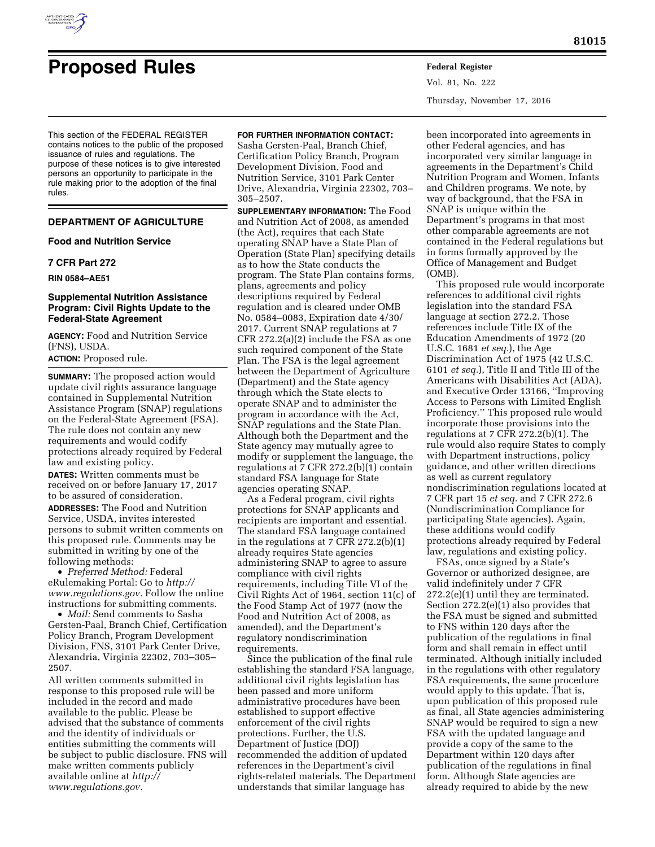

# **Proposed Rules Federal Register**

This section of the FEDERAL REGISTER contains notices to the public of the proposed issuance of rules and regulations. The purpose of these notices is to give interested persons an opportunity to participate in the rule making prior to the adoption of the final rules.

# **DEPARTMENT OF AGRICULTURE**

# **Food and Nutrition Service**

# **7 CFR Part 272**

**RIN 0584–AE51** 

# **Supplemental Nutrition Assistance Program: Civil Rights Update to the Federal-State Agreement**

**AGENCY:** Food and Nutrition Service (FNS), USDA.

**ACTION:** Proposed rule.

**SUMMARY:** The proposed action would update civil rights assurance language contained in Supplemental Nutrition Assistance Program (SNAP) regulations on the Federal-State Agreement (FSA). The rule does not contain any new requirements and would codify protections already required by Federal law and existing policy.

**DATES:** Written comments must be received on or before January 17, 2017 to be assured of consideration.

**ADDRESSES:** The Food and Nutrition Service, USDA, invites interested persons to submit written comments on this proposed rule. Comments may be submitted in writing by one of the following methods:

• *Preferred Method:* Federal eRulemaking Portal: Go to *[http://](http://www.regulations.gov) [www.regulations.gov.](http://www.regulations.gov)* Follow the online instructions for submitting comments.

• *Mail:* Send comments to Sasha Gersten-Paal, Branch Chief, Certification Policy Branch, Program Development Division, FNS, 3101 Park Center Drive, Alexandria, Virginia 22302, 703–305– 2507.

All written comments submitted in response to this proposed rule will be included in the record and made available to the public. Please be advised that the substance of comments and the identity of individuals or entities submitting the comments will be subject to public disclosure. FNS will make written comments publicly available online at *[http://](http://www.regulations.gov) [www.regulations.gov.](http://www.regulations.gov)* 

### **FOR FURTHER INFORMATION CONTACT:**

Sasha Gersten-Paal, Branch Chief, Certification Policy Branch, Program Development Division, Food and Nutrition Service, 3101 Park Center Drive, Alexandria, Virginia 22302, 703– 305–2507.

**SUPPLEMENTARY INFORMATION:** The Food and Nutrition Act of 2008, as amended (the Act), requires that each State operating SNAP have a State Plan of Operation (State Plan) specifying details as to how the State conducts the program. The State Plan contains forms, plans, agreements and policy descriptions required by Federal regulation and is cleared under OMB No. 0584–0083, Expiration date 4/30/ 2017. Current SNAP regulations at 7 CFR 272.2(a)(2) include the FSA as one such required component of the State Plan. The FSA is the legal agreement between the Department of Agriculture (Department) and the State agency through which the State elects to operate SNAP and to administer the program in accordance with the Act, SNAP regulations and the State Plan. Although both the Department and the State agency may mutually agree to modify or supplement the language, the regulations at 7 CFR 272.2(b)(1) contain standard FSA language for State agencies operating SNAP.

As a Federal program, civil rights protections for SNAP applicants and recipients are important and essential. The standard FSA language contained in the regulations at 7 CFR 272.2(b)(1) already requires State agencies administering SNAP to agree to assure compliance with civil rights requirements, including Title VI of the Civil Rights Act of 1964, section 11(c) of the Food Stamp Act of 1977 (now the Food and Nutrition Act of 2008, as amended), and the Department's regulatory nondiscrimination requirements.

Since the publication of the final rule establishing the standard FSA language, additional civil rights legislation has been passed and more uniform administrative procedures have been established to support effective enforcement of the civil rights protections. Further, the U.S. Department of Justice (DOJ) recommended the addition of updated references in the Department's civil rights-related materials. The Department understands that similar language has

Vol. 81, No. 222 Thursday, November 17, 2016

been incorporated into agreements in other Federal agencies, and has incorporated very similar language in agreements in the Department's Child Nutrition Program and Women, Infants and Children programs. We note, by way of background, that the FSA in SNAP is unique within the Department's programs in that most other comparable agreements are not contained in the Federal regulations but in forms formally approved by the Office of Management and Budget (OMB).

This proposed rule would incorporate references to additional civil rights legislation into the standard FSA language at section 272.2. Those references include Title IX of the Education Amendments of 1972 (20 U.S.C. 1681 *et seq.*), the Age Discrimination Act of 1975 (42 U.S.C. 6101 *et seq.*), Title II and Title III of the Americans with Disabilities Act (ADA), and Executive Order 13166, ''Improving Access to Persons with Limited English Proficiency.'' This proposed rule would incorporate those provisions into the regulations at 7 CFR 272.2(b)(1). The rule would also require States to comply with Department instructions, policy guidance, and other written directions as well as current regulatory nondiscrimination regulations located at 7 CFR part 15 *et seq.* and 7 CFR 272.6 (Nondiscrimination Compliance for participating State agencies). Again, these additions would codify protections already required by Federal law, regulations and existing policy.

FSAs, once signed by a State's Governor or authorized designee, are valid indefinitely under 7 CFR 272.2(e)(1) until they are terminated. Section 272.2(e)(1) also provides that the FSA must be signed and submitted to FNS within 120 days after the publication of the regulations in final form and shall remain in effect until terminated. Although initially included in the regulations with other regulatory FSA requirements, the same procedure would apply to this update. That is, upon publication of this proposed rule as final, all State agencies administering SNAP would be required to sign a new FSA with the updated language and provide a copy of the same to the Department within 120 days after publication of the regulations in final form. Although State agencies are already required to abide by the new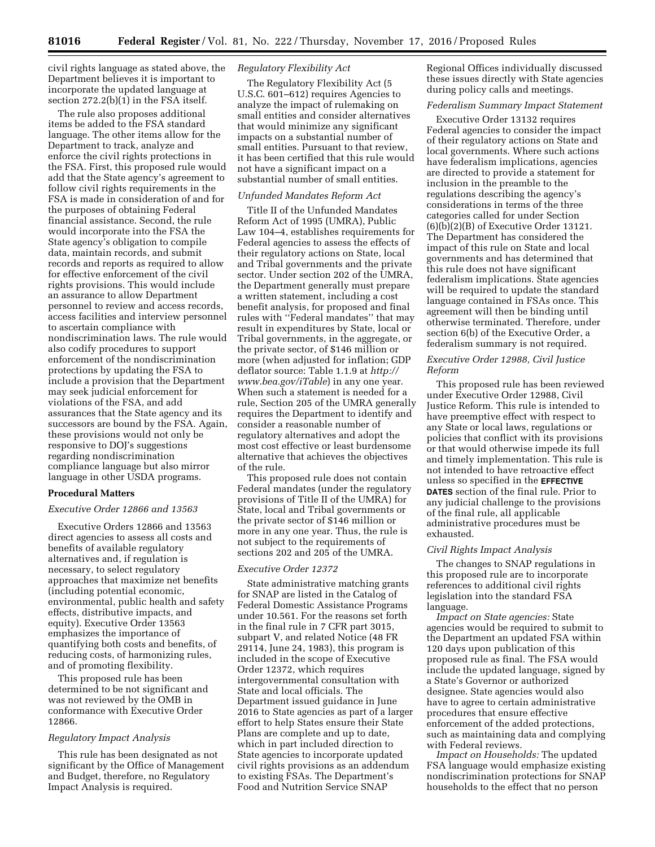civil rights language as stated above, the Department believes it is important to incorporate the updated language at section 272.2(b)(1) in the FSA itself.

The rule also proposes additional items be added to the FSA standard language. The other items allow for the Department to track, analyze and enforce the civil rights protections in the FSA. First, this proposed rule would add that the State agency's agreement to follow civil rights requirements in the FSA is made in consideration of and for the purposes of obtaining Federal financial assistance. Second, the rule would incorporate into the FSA the State agency's obligation to compile data, maintain records, and submit records and reports as required to allow for effective enforcement of the civil rights provisions. This would include an assurance to allow Department personnel to review and access records, access facilities and interview personnel to ascertain compliance with nondiscrimination laws. The rule would also codify procedures to support enforcement of the nondiscrimination protections by updating the FSA to include a provision that the Department may seek judicial enforcement for violations of the FSA, and add assurances that the State agency and its successors are bound by the FSA. Again, these provisions would not only be responsive to DOJ's suggestions regarding nondiscrimination compliance language but also mirror language in other USDA programs.

# **Procedural Matters**

# *Executive Order 12866 and 13563*

Executive Orders 12866 and 13563 direct agencies to assess all costs and benefits of available regulatory alternatives and, if regulation is necessary, to select regulatory approaches that maximize net benefits (including potential economic, environmental, public health and safety effects, distributive impacts, and equity). Executive Order 13563 emphasizes the importance of quantifying both costs and benefits, of reducing costs, of harmonizing rules, and of promoting flexibility.

This proposed rule has been determined to be not significant and was not reviewed by the OMB in conformance with Executive Order 12866.

#### *Regulatory Impact Analysis*

This rule has been designated as not significant by the Office of Management and Budget, therefore, no Regulatory Impact Analysis is required.

# *Regulatory Flexibility Act*

The Regulatory Flexibility Act (5 U.S.C. 601–612) requires Agencies to analyze the impact of rulemaking on small entities and consider alternatives that would minimize any significant impacts on a substantial number of small entities. Pursuant to that review, it has been certified that this rule would not have a significant impact on a substantial number of small entities.

## *Unfunded Mandates Reform Act*

Title II of the Unfunded Mandates Reform Act of 1995 (UMRA), Public Law 104–4, establishes requirements for Federal agencies to assess the effects of their regulatory actions on State, local and Tribal governments and the private sector. Under section 202 of the UMRA, the Department generally must prepare a written statement, including a cost benefit analysis, for proposed and final rules with ''Federal mandates'' that may result in expenditures by State, local or Tribal governments, in the aggregate, or the private sector, of \$146 million or more (when adjusted for inflation; GDP deflator source: Table 1.1.9 at *[http://](http://www.bea.gov/iTable) [www.bea.gov/iTable](http://www.bea.gov/iTable)*) in any one year. When such a statement is needed for a rule, Section 205 of the UMRA generally requires the Department to identify and consider a reasonable number of regulatory alternatives and adopt the most cost effective or least burdensome alternative that achieves the objectives of the rule.

This proposed rule does not contain Federal mandates (under the regulatory provisions of Title II of the UMRA) for State, local and Tribal governments or the private sector of \$146 million or more in any one year. Thus, the rule is not subject to the requirements of sections 202 and 205 of the UMRA.

# *Executive Order 12372*

State administrative matching grants for SNAP are listed in the Catalog of Federal Domestic Assistance Programs under 10.561. For the reasons set forth in the final rule in 7 CFR part 3015, subpart V, and related Notice (48 FR 29114, June 24, 1983), this program is included in the scope of Executive Order 12372, which requires intergovernmental consultation with State and local officials. The Department issued guidance in June 2016 to State agencies as part of a larger effort to help States ensure their State Plans are complete and up to date, which in part included direction to State agencies to incorporate updated civil rights provisions as an addendum to existing FSAs. The Department's Food and Nutrition Service SNAP

Regional Offices individually discussed these issues directly with State agencies during policy calls and meetings.

## *Federalism Summary Impact Statement*

Executive Order 13132 requires Federal agencies to consider the impact of their regulatory actions on State and local governments. Where such actions have federalism implications, agencies are directed to provide a statement for inclusion in the preamble to the regulations describing the agency's considerations in terms of the three categories called for under Section (6)(b)(2)(B) of Executive Order 13121. The Department has considered the impact of this rule on State and local governments and has determined that this rule does not have significant federalism implications. State agencies will be required to update the standard language contained in FSAs once. This agreement will then be binding until otherwise terminated. Therefore, under section 6(b) of the Executive Order, a federalism summary is not required.

# *Executive Order 12988, Civil Justice Reform*

This proposed rule has been reviewed under Executive Order 12988, Civil Justice Reform. This rule is intended to have preemptive effect with respect to any State or local laws, regulations or policies that conflict with its provisions or that would otherwise impede its full and timely implementation. This rule is not intended to have retroactive effect unless so specified in the **EFFECTIVE DATES** section of the final rule. Prior to any judicial challenge to the provisions of the final rule, all applicable administrative procedures must be exhausted.

#### *Civil Rights Impact Analysis*

The changes to SNAP regulations in this proposed rule are to incorporate references to additional civil rights legislation into the standard FSA language.

*Impact on State agencies:* State agencies would be required to submit to the Department an updated FSA within 120 days upon publication of this proposed rule as final. The FSA would include the updated language, signed by a State's Governor or authorized designee. State agencies would also have to agree to certain administrative procedures that ensure effective enforcement of the added protections, such as maintaining data and complying with Federal reviews.

*Impact on Households:* The updated FSA language would emphasize existing nondiscrimination protections for SNAP households to the effect that no person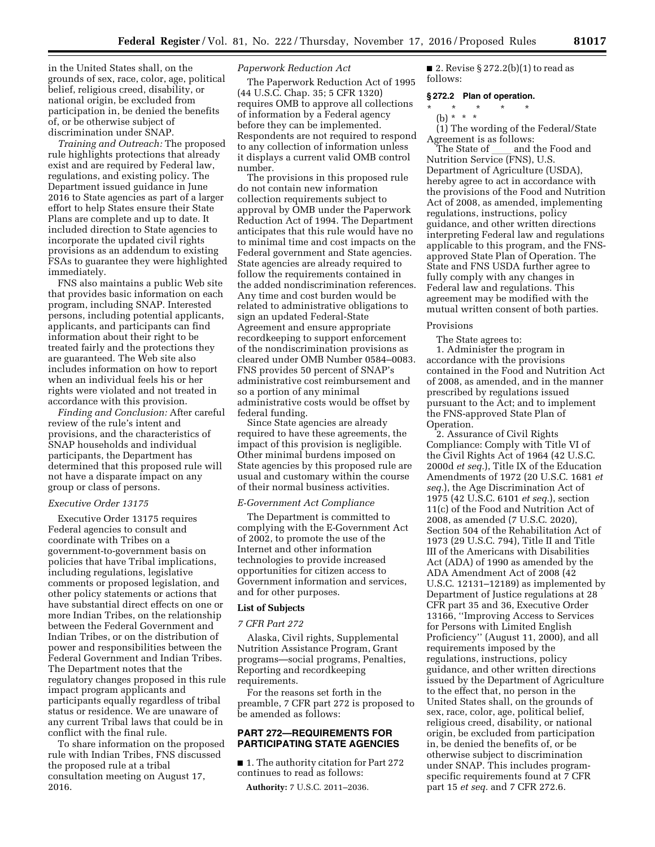in the United States shall, on the grounds of sex, race, color, age, political belief, religious creed, disability, or national origin, be excluded from participation in, be denied the benefits of, or be otherwise subject of discrimination under SNAP.

*Training and Outreach:* The proposed rule highlights protections that already exist and are required by Federal law, regulations, and existing policy. The Department issued guidance in June 2016 to State agencies as part of a larger effort to help States ensure their State Plans are complete and up to date. It included direction to State agencies to incorporate the updated civil rights provisions as an addendum to existing FSAs to guarantee they were highlighted immediately.

FNS also maintains a public Web site that provides basic information on each program, including SNAP. Interested persons, including potential applicants, applicants, and participants can find information about their right to be treated fairly and the protections they are guaranteed. The Web site also includes information on how to report when an individual feels his or her rights were violated and not treated in accordance with this provision.

*Finding and Conclusion:* After careful review of the rule's intent and provisions, and the characteristics of SNAP households and individual participants, the Department has determined that this proposed rule will not have a disparate impact on any group or class of persons.

# *Executive Order 13175*

Executive Order 13175 requires Federal agencies to consult and coordinate with Tribes on a government-to-government basis on policies that have Tribal implications, including regulations, legislative comments or proposed legislation, and other policy statements or actions that have substantial direct effects on one or more Indian Tribes, on the relationship between the Federal Government and Indian Tribes, or on the distribution of power and responsibilities between the Federal Government and Indian Tribes. The Department notes that the regulatory changes proposed in this rule impact program applicants and participants equally regardless of tribal status or residence. We are unaware of any current Tribal laws that could be in conflict with the final rule.

To share information on the proposed rule with Indian Tribes, FNS discussed the proposed rule at a tribal consultation meeting on August 17, 2016.

# *Paperwork Reduction Act*

The Paperwork Reduction Act of 1995 (44 U.S.C. Chap. 35; 5 CFR 1320) requires OMB to approve all collections of information by a Federal agency before they can be implemented. Respondents are not required to respond to any collection of information unless it displays a current valid OMB control number.

The provisions in this proposed rule do not contain new information collection requirements subject to approval by OMB under the Paperwork Reduction Act of 1994. The Department anticipates that this rule would have no to minimal time and cost impacts on the Federal government and State agencies. State agencies are already required to follow the requirements contained in the added nondiscrimination references. Any time and cost burden would be related to administrative obligations to sign an updated Federal-State Agreement and ensure appropriate recordkeeping to support enforcement of the nondiscrimination provisions as cleared under OMB Number 0584–0083. FNS provides 50 percent of SNAP's administrative cost reimbursement and so a portion of any minimal administrative costs would be offset by federal funding.

Since State agencies are already required to have these agreements, the impact of this provision is negligible. Other minimal burdens imposed on State agencies by this proposed rule are usual and customary within the course of their normal business activities.

# *E-Government Act Compliance*

The Department is committed to complying with the E-Government Act of 2002, to promote the use of the Internet and other information technologies to provide increased opportunities for citizen access to Government information and services, and for other purposes.

#### **List of Subjects**

# *7 CFR Part 272*

Alaska, Civil rights, Supplemental Nutrition Assistance Program, Grant programs—social programs, Penalties, Reporting and recordkeeping requirements.

For the reasons set forth in the preamble, 7 CFR part 272 is proposed to be amended as follows:

# **PART 272—REQUIREMENTS FOR PARTICIPATING STATE AGENCIES**

■ 1. The authority citation for Part 272 continues to read as follows:

**Authority:** 7 U.S.C. 2011–2036.

■ 2. Revise § 272.2(b)(1) to read as follows:

# **§ 272.2 Plan of operation.**

\* \* \* \* \*

(b) \* \* \* (1) The wording of the Federal/State

Agreement is as follows:<br>The State of and the Food and The State of \_\_\_ and the Food and<br>Nutrition Service (FNS), U.S. Department of Agriculture (USDA), hereby agree to act in accordance with the provisions of the Food and Nutrition Act of 2008, as amended, implementing regulations, instructions, policy guidance, and other written directions interpreting Federal law and regulations applicable to this program, and the FNSapproved State Plan of Operation. The State and FNS USDA further agree to fully comply with any changes in Federal law and regulations. This agreement may be modified with the mutual written consent of both parties.

#### Provisions

The State agrees to: 1. Administer the program in accordance with the provisions contained in the Food and Nutrition Act of 2008, as amended, and in the manner prescribed by regulations issued pursuant to the Act; and to implement the FNS-approved State Plan of Operation.

2. Assurance of Civil Rights Compliance: Comply with Title VI of the Civil Rights Act of 1964 (42 U.S.C. 2000d *et seq.*), Title IX of the Education Amendments of 1972 (20 U.S.C. 1681 *et seq.*), the Age Discrimination Act of 1975 (42 U.S.C. 6101 *et seq.*), section 11(c) of the Food and Nutrition Act of 2008, as amended (7 U.S.C. 2020), Section 504 of the Rehabilitation Act of 1973 (29 U.S.C. 794), Title II and Title III of the Americans with Disabilities Act (ADA) of 1990 as amended by the ADA Amendment Act of 2008 (42 U.S.C. 12131–12189) as implemented by Department of Justice regulations at 28 CFR part 35 and 36, Executive Order 13166, ''Improving Access to Services for Persons with Limited English Proficiency'' (August 11, 2000), and all requirements imposed by the regulations, instructions, policy guidance, and other written directions issued by the Department of Agriculture to the effect that, no person in the United States shall, on the grounds of sex, race, color, age, political belief, religious creed, disability, or national origin, be excluded from participation in, be denied the benefits of, or be otherwise subject to discrimination under SNAP. This includes programspecific requirements found at 7 CFR part 15 *et seq.* and 7 CFR 272.6.